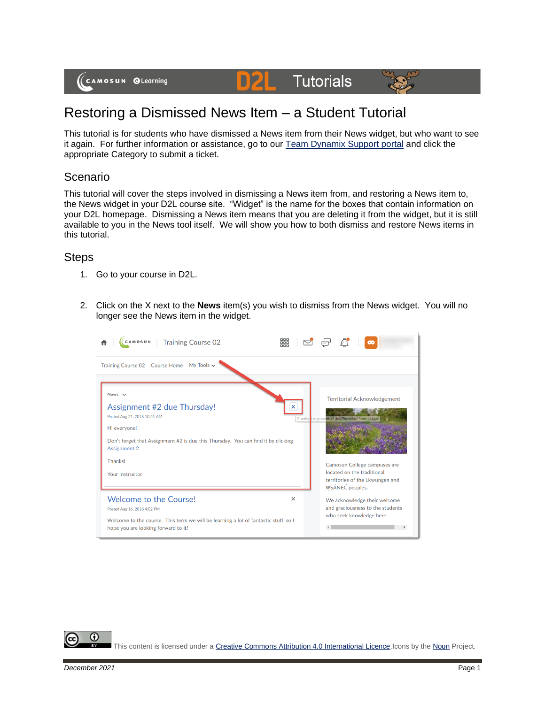(CAMOSUN @Learning

## Restoring a Dismissed News Item – a Student Tutorial

This tutorial is for students who have dismissed a News item from their News widget, but who want to see it again. For further information or assistance, go to our [Team Dynamix Support portal](https://camosun.teamdynamix.com/TDClient/67/Portal/Requests/ServiceCatalog?CategoryID=523) and click the appropriate Category to submit a ticket.

**D2L** Tutorials

## Scenario

This tutorial will cover the steps involved in dismissing a News item from, and restoring a News item to, the News widget in your D2L course site. "Widget" is the name for the boxes that contain information on your D2L homepage. Dismissing a News item means that you are deleting it from the widget, but it is still available to you in the News tool itself. We will show you how to both dismiss and restore News items in this tutorial.

## **Steps**

- 1. Go to your course in D2L.
- 2. Click on the X next to the **News** item(s) you wish to dismiss from the News widget. You will no longer see the News item in the widget.



This content is licensed under [a Creative Commons Attribution 4.0 International Licence.I](https://creativecommons.org/licenses/by/4.0/)cons by th[e Noun](https://creativecommons.org/website-icons/) Project.

G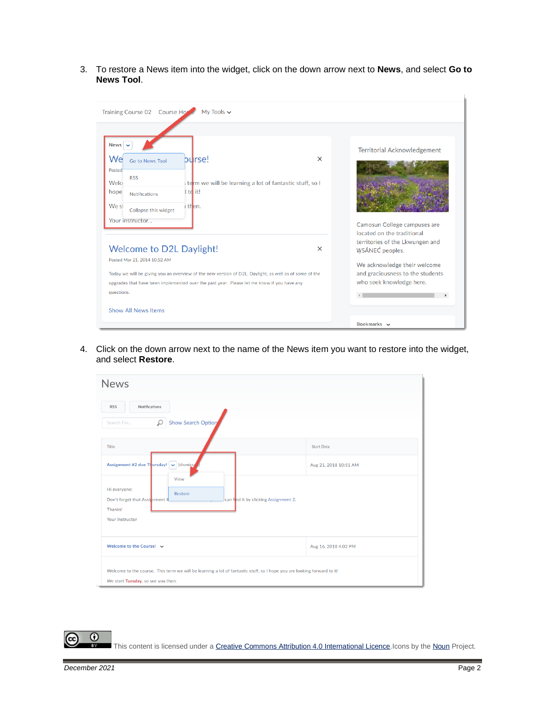3. To restore a News item into the widget, click on the down arrow next to **News**, and select **Go to News Tool**.

| Training Course 02 Course Home<br>My Tools $\sim$                                                                                                                                                                                                                                                                        |                                                                                                                                                    |
|--------------------------------------------------------------------------------------------------------------------------------------------------------------------------------------------------------------------------------------------------------------------------------------------------------------------------|----------------------------------------------------------------------------------------------------------------------------------------------------|
| <b>News</b><br>burse!<br>$\times$<br>Wel<br>Go to News Tool<br>Posted<br><b>RSS</b><br>Welci<br>term we will be learning a lot of fantastic stuff, so I<br>I td it!<br>hope<br><b>Notifications</b><br>We st<br>i then.<br>Collapse this widget<br>Your instructor                                                       | <b>Territorial Acknowledgement</b><br>Camosun College campuses are<br>located on the traditional                                                   |
| <b>Welcome to D2L Daylight!</b><br>$\times$<br>Posted Mar 21, 2014 10:52 AM<br>Today we will be giving you an overview of the new version of D2L, Daylight, as well as of some of the<br>upgrades that have been implemented over the past year. Please let me know if you have any<br>questions.<br>Show All News Items | territories of the Lkwungen and<br>WSÁNEC peoples.<br>We acknowledge their welcome<br>and graciousness to the students<br>who seek knowledge here. |

4. Click on the down arrow next to the name of the News item you want to restore into the widget, and select **Restore**.

| <b>News</b>                                                                                                                                                   |                       |  |
|---------------------------------------------------------------------------------------------------------------------------------------------------------------|-----------------------|--|
| <b>RSS</b><br><b>Notifications</b>                                                                                                                            |                       |  |
| <b>Show Search Option</b><br>$\varphi$<br>Search For                                                                                                          |                       |  |
| Title                                                                                                                                                         | <b>Start Date</b>     |  |
| Assignment #2 due Thursday!   v   (dismiss/                                                                                                                   | Aug 21, 2018 10:51 AM |  |
| View<br>Hi everyone!<br>Restore<br>Don't forget that Assichment #<br>can find it by clicking Assignment 2.<br>Thanks!<br>Your Instructor                      |                       |  |
| Welcome to the Course! $\vee$                                                                                                                                 | Aug 16, 2018 4:02 PM  |  |
| Welcome to the course. This term we will be learning a lot of fantastic stuff, so I hope you are looking forward to it!<br>We start Tuesday, so see you then. |                       |  |

This content is licensed under [a Creative Commons Attribution 4.0 International Licence.I](https://creativecommons.org/licenses/by/4.0/)cons by th[e Noun](https://creativecommons.org/website-icons/) Project.

 $\odot$